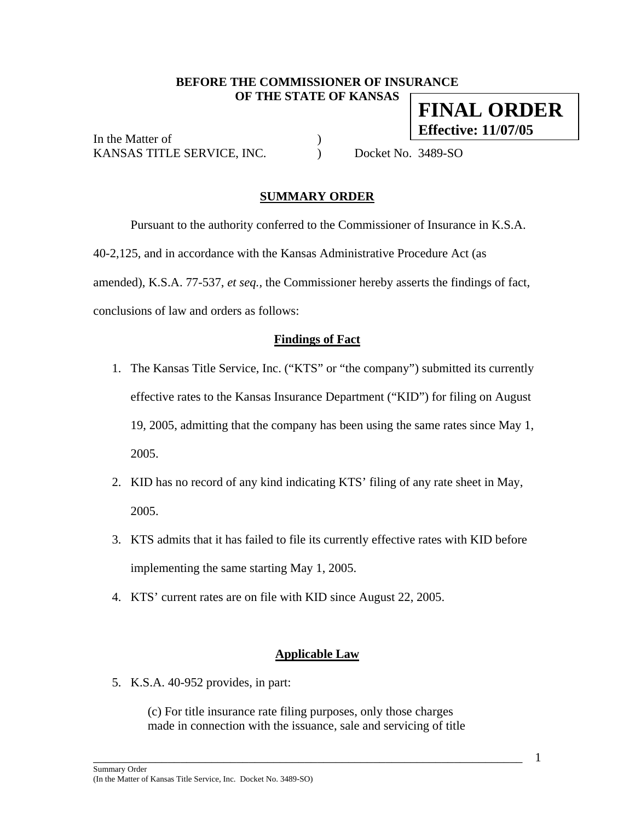### **BEFORE THE COMMISSIONER OF INSURANCE OF THE STATE OF KANSAS FINAL ORDER**

In the Matter of *I* KANSAS TITLE SERVICE, INC. (a) Docket No. 3489-SO

**Effective: 11/07/05**

## **SUMMARY ORDER**

 Pursuant to the authority conferred to the Commissioner of Insurance in K.S.A. 40-2,125, and in accordance with the Kansas Administrative Procedure Act (as amended), K.S.A. 77-537, *et seq.,* the Commissioner hereby asserts the findings of fact, conclusions of law and orders as follows:

### **Findings of Fact**

- 1. The Kansas Title Service, Inc. ("KTS" or "the company") submitted its currently effective rates to the Kansas Insurance Department ("KID") for filing on August 19, 2005, admitting that the company has been using the same rates since May 1, 2005.
- 2. KID has no record of any kind indicating KTS' filing of any rate sheet in May, 2005.
- 3. KTS admits that it has failed to file its currently effective rates with KID before implementing the same starting May 1, 2005.
- 4. KTS' current rates are on file with KID since August 22, 2005.

### **Applicable Law**

5. K.S.A. 40-952 provides, in part:

(c) For title insurance rate filing purposes, only those charges made in connection with the issuance, sale and servicing of title

\_\_\_\_\_\_\_\_\_\_\_\_\_\_\_\_\_\_\_\_\_\_\_\_\_\_\_\_\_\_\_\_\_\_\_\_\_\_\_\_\_\_\_\_\_\_\_\_\_\_\_\_\_\_\_\_\_\_\_\_\_\_\_\_\_\_\_\_\_

1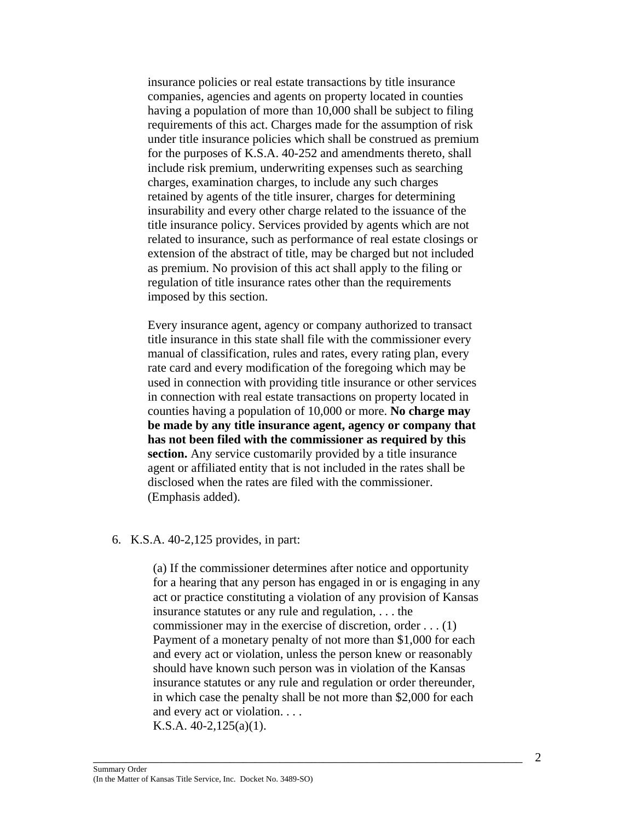insurance policies or real estate transactions by title insurance companies, agencies and agents on property located in counties having a population of more than 10,000 shall be subject to filing requirements of this act. Charges made for the assumption of risk under title insurance policies which shall be construed as premium for the purposes of K.S.A. 40-252 and amendments thereto, shall include risk premium, underwriting expenses such as searching charges, examination charges, to include any such charges retained by agents of the title insurer, charges for determining insurability and every other charge related to the issuance of the title insurance policy. Services provided by agents which are not related to insurance, such as performance of real estate closings or extension of the abstract of title, may be charged but not included as premium. No provision of this act shall apply to the filing or regulation of title insurance rates other than the requirements imposed by this section.

Every insurance agent, agency or company authorized to transact title insurance in this state shall file with the commissioner every manual of classification, rules and rates, every rating plan, every rate card and every modification of the foregoing which may be used in connection with providing title insurance or other services in connection with real estate transactions on property located in counties having a population of 10,000 or more. **No charge may be made by any title insurance agent, agency or company that has not been filed with the commissioner as required by this section.** Any service customarily provided by a title insurance agent or affiliated entity that is not included in the rates shall be disclosed when the rates are filed with the commissioner. (Emphasis added).

#### 6. K.S.A. 40-2,125 provides, in part:

(a) If the commissioner determines after notice and opportunity for a hearing that any person has engaged in or is engaging in any act or practice constituting a violation of any provision of Kansas insurance statutes or any rule and regulation, . . . the commissioner may in the exercise of discretion, order . . . (1) Payment of a monetary penalty of not more than \$1,000 for each and every act or violation, unless the person knew or reasonably should have known such person was in violation of the Kansas insurance statutes or any rule and regulation or order thereunder, in which case the penalty shall be not more than \$2,000 for each and every act or violation. . . .

\_\_\_\_\_\_\_\_\_\_\_\_\_\_\_\_\_\_\_\_\_\_\_\_\_\_\_\_\_\_\_\_\_\_\_\_\_\_\_\_\_\_\_\_\_\_\_\_\_\_\_\_\_\_\_\_\_\_\_\_\_\_\_\_\_\_\_\_\_

K.S.A. 40-2,125(a)(1).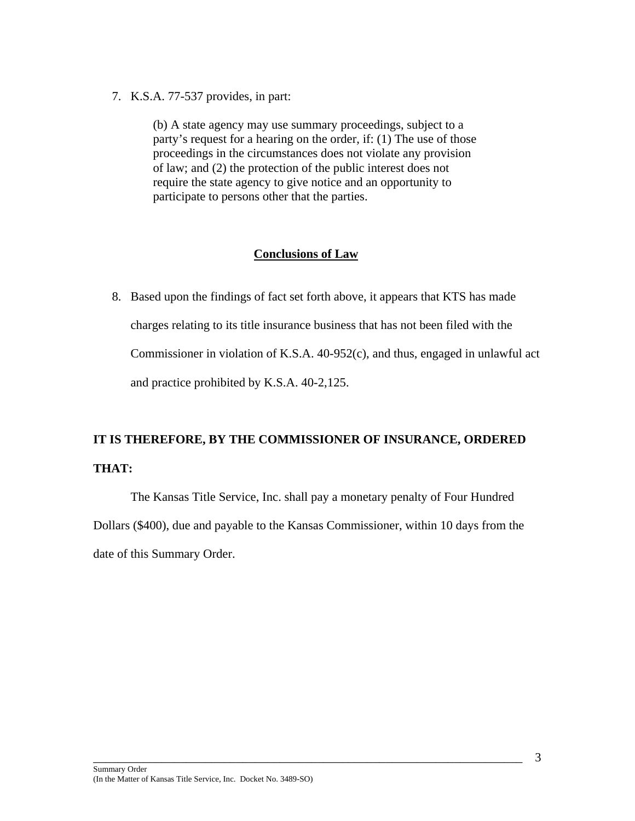7. K.S.A. 77-537 provides, in part:

(b) A state agency may use summary proceedings, subject to a party's request for a hearing on the order, if: (1) The use of those proceedings in the circumstances does not violate any provision of law; and (2) the protection of the public interest does not require the state agency to give notice and an opportunity to participate to persons other that the parties.

### **Conclusions of Law**

8. Based upon the findings of fact set forth above, it appears that KTS has made charges relating to its title insurance business that has not been filed with the Commissioner in violation of K.S.A. 40-952(c), and thus, engaged in unlawful act and practice prohibited by K.S.A. 40-2,125.

# **IT IS THEREFORE, BY THE COMMISSIONER OF INSURANCE, ORDERED THAT:**

 The Kansas Title Service, Inc. shall pay a monetary penalty of Four Hundred Dollars (\$400), due and payable to the Kansas Commissioner, within 10 days from the date of this Summary Order.

\_\_\_\_\_\_\_\_\_\_\_\_\_\_\_\_\_\_\_\_\_\_\_\_\_\_\_\_\_\_\_\_\_\_\_\_\_\_\_\_\_\_\_\_\_\_\_\_\_\_\_\_\_\_\_\_\_\_\_\_\_\_\_\_\_\_\_\_\_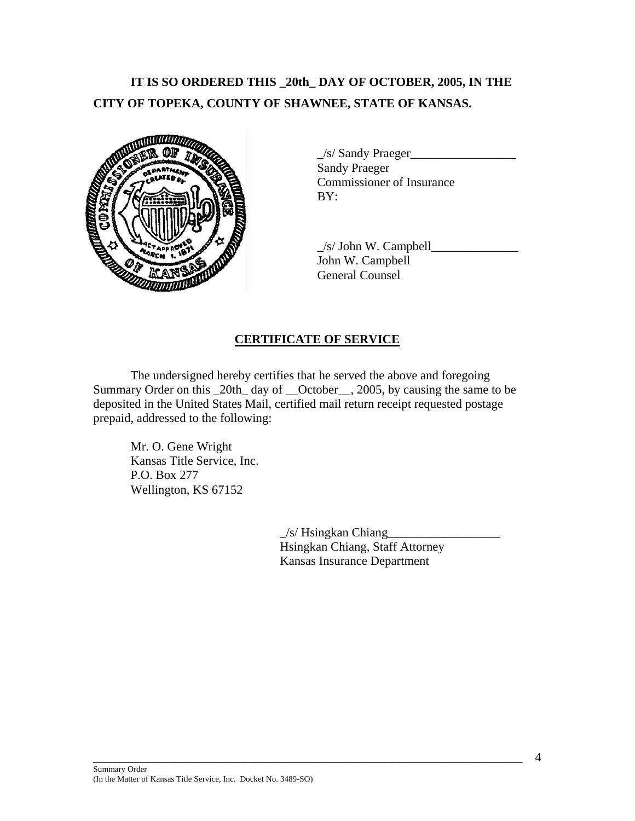# **IT IS SO ORDERED THIS \_20th\_ DAY OF OCTOBER, 2005, IN THE CITY OF TOPEKA, COUNTY OF SHAWNEE, STATE OF KANSAS.**



\_/s/ Sandy Praeger\_\_\_\_\_\_\_\_\_\_\_\_\_\_\_\_\_ Sandy Praeger Commissioner of Insurance

 $\angle$ s/ John W. Campbell John W. Campbell General Counsel

# **CERTIFICATE OF SERVICE**

 The undersigned hereby certifies that he served the above and foregoing Summary Order on this \_20th\_ day of \_\_October\_\_, 2005, by causing the same to be deposited in the United States Mail, certified mail return receipt requested postage prepaid, addressed to the following:

\_\_\_\_\_\_\_\_\_\_\_\_\_\_\_\_\_\_\_\_\_\_\_\_\_\_\_\_\_\_\_\_\_\_\_\_\_\_\_\_\_\_\_\_\_\_\_\_\_\_\_\_\_\_\_\_\_\_\_\_\_\_\_\_\_\_\_\_\_

 Mr. O. Gene Wright Kansas Title Service, Inc. P.O. Box 277 Wellington, KS 67152

> $\angle$ s/ Hsingkan Chiang Hsingkan Chiang, Staff Attorney Kansas Insurance Department